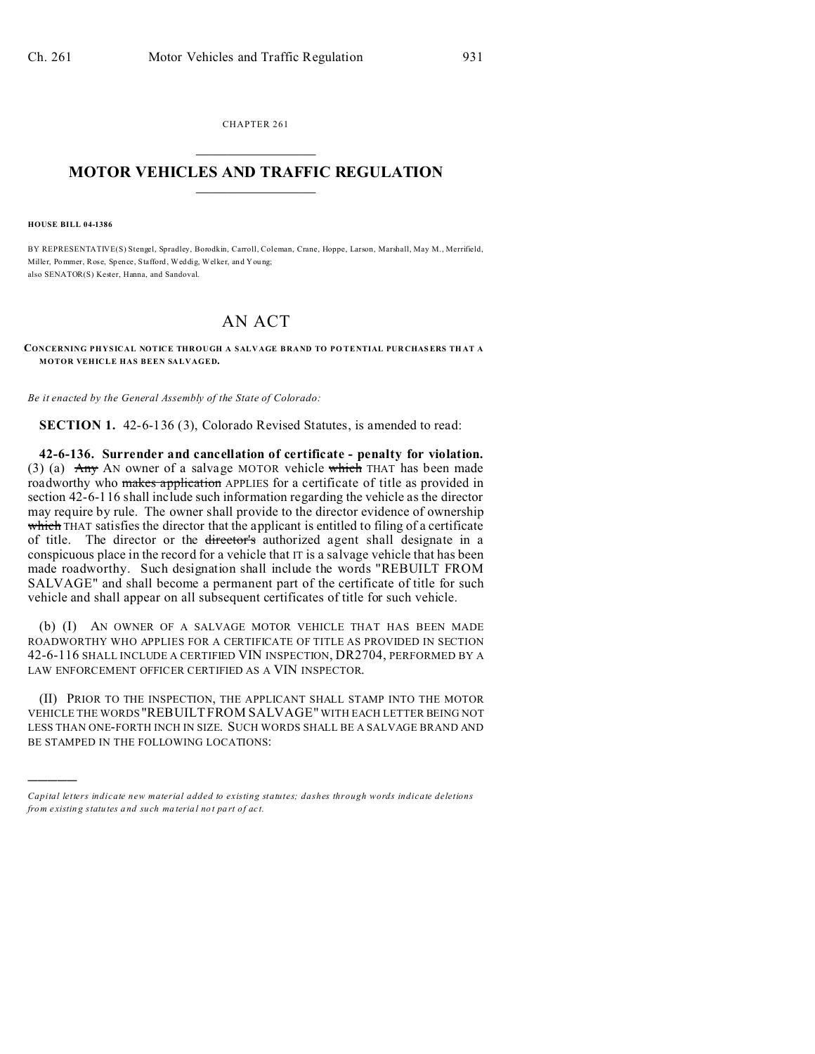CHAPTER 261  $\overline{\phantom{a}}$  , where  $\overline{\phantom{a}}$ 

## **MOTOR VEHICLES AND TRAFFIC REGULATION**  $\frac{1}{2}$  ,  $\frac{1}{2}$  ,  $\frac{1}{2}$  ,  $\frac{1}{2}$  ,  $\frac{1}{2}$  ,  $\frac{1}{2}$  ,  $\frac{1}{2}$

**HOUSE BILL 04-1386**

)))))

BY REPRESENTATIVE(S) Stengel, Spradley, Borodkin, Carroll, Coleman, Crane, Hoppe, Larson, Marshall, May M., Merrifield, Miller, Pommer, Rose, Spence, Stafford, Weddig, Welker, and You ng; also SENATOR(S) Kester, Hanna, and Sandoval.

## AN ACT

**CONCERNING PHYSICAL NOTICE THROUGH A SALVAGE BRAND TO PO TENTIAL PUR CHASERS TH AT A MOTOR VEHICLE HAS BEEN SALVAGED.**

*Be it enacted by the General Assembly of the State of Colorado:*

**SECTION 1.** 42-6-136 (3), Colorado Revised Statutes, is amended to read:

**42-6-136. Surrender and cancellation of certificate - penalty for violation.** (3) (a)  $\text{Any}$  AN owner of a salvage MOTOR vehicle which THAT has been made roadworthy who makes application APPLIES for a certificate of title as provided in section 42-6-116 shall include such information regarding the vehicle as the director may require by rule. The owner shall provide to the director evidence of ownership which THAT satisfies the director that the applicant is entitled to filing of a certificate of title. The director or the director's authorized agent shall designate in a conspicuous place in the record for a vehicle that IT is a salvage vehicle that has been made roadworthy. Such designation shall include the words "REBUILT FROM SALVAGE" and shall become a permanent part of the certificate of title for such vehicle and shall appear on all subsequent certificates of title for such vehicle.

(b) (I) AN OWNER OF A SALVAGE MOTOR VEHICLE THAT HAS BEEN MADE ROADWORTHY WHO APPLIES FOR A CERTIFICATE OF TITLE AS PROVIDED IN SECTION 42-6-116 SHALL INCLUDE A CERTIFIED VIN INSPECTION, DR2704, PERFORMED BY A LAW ENFORCEMENT OFFICER CERTIFIED AS A VIN INSPECTOR.

(II) PRIOR TO THE INSPECTION, THE APPLICANT SHALL STAMP INTO THE MOTOR VEHICLE THE WORDS "REBUILTFROM SALVAGE" WITH EACH LETTER BEING NOT LESS THAN ONE-FORTH INCH IN SIZE. SUCH WORDS SHALL BE A SALVAGE BRAND AND BE STAMPED IN THE FOLLOWING LOCATIONS:

*Capital letters indicate new material added to existing statutes; dashes through words indicate deletions from e xistin g statu tes a nd such ma teria l no t pa rt of ac t.*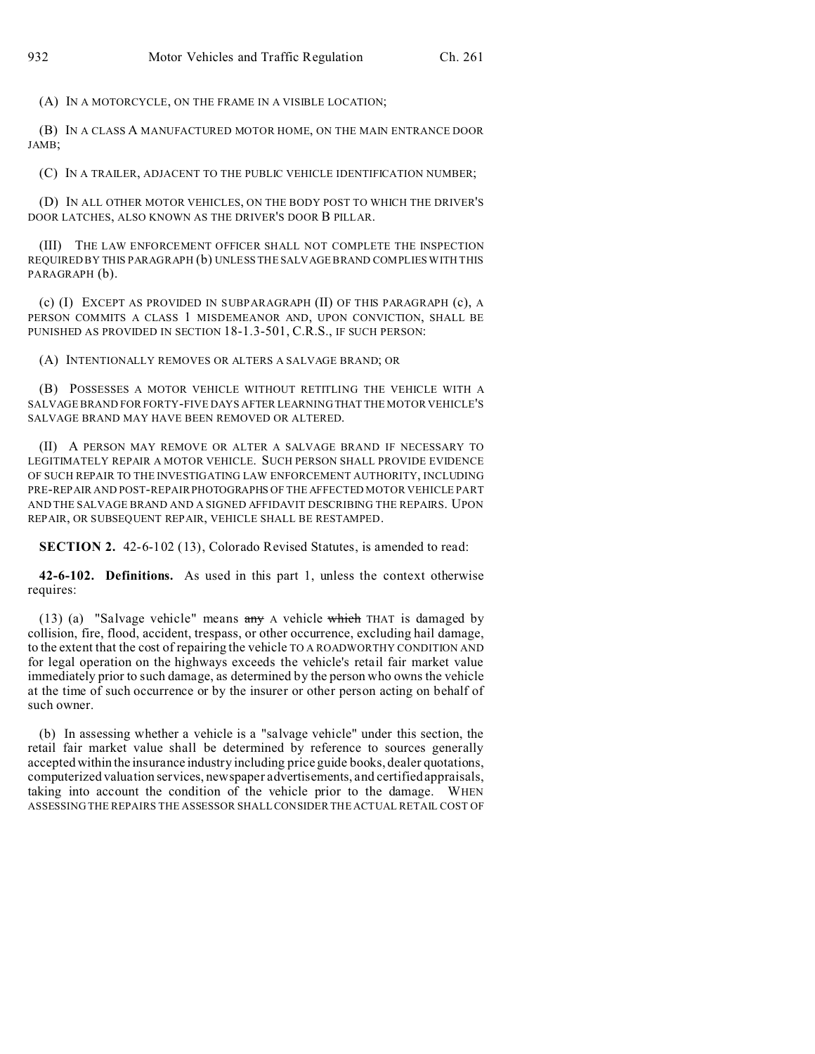(A) IN A MOTORCYCLE, ON THE FRAME IN A VISIBLE LOCATION;

(B) IN A CLASS A MANUFACTURED MOTOR HOME, ON THE MAIN ENTRANCE DOOR JAMB;

(C) IN A TRAILER, ADJACENT TO THE PUBLIC VEHICLE IDENTIFICATION NUMBER;

(D) IN ALL OTHER MOTOR VEHICLES, ON THE BODY POST TO WHICH THE DRIVER'S DOOR LATCHES, ALSO KNOWN AS THE DRIVER'S DOOR B PILLAR.

(III) THE LAW ENFORCEMENT OFFICER SHALL NOT COMPLETE THE INSPECTION REQUIRED BY THIS PARAGRAPH (b) UNLESS THE SALVAGE BRAND COMPLIES WITH THIS PARAGRAPH (b).

(c) (I) EXCEPT AS PROVIDED IN SUBPARAGRAPH (II) OF THIS PARAGRAPH (c), A PERSON COMMITS A CLASS 1 MISDEMEANOR AND, UPON CONVICTION, SHALL BE PUNISHED AS PROVIDED IN SECTION 18-1.3-501, C.R.S., IF SUCH PERSON:

(A) INTENTIONALLY REMOVES OR ALTERS A SALVAGE BRAND; OR

(B) POSSESSES A MOTOR VEHICLE WITHOUT RETITLING THE VEHICLE WITH A SALVAGE BRAND FOR FORTY-FIVE DAYS AFTER LEARNING THAT THE MOTOR VEHICLE'S SALVAGE BRAND MAY HAVE BEEN REMOVED OR ALTERED.

(II) A PERSON MAY REMOVE OR ALTER A SALVAGE BRAND IF NECESSARY TO LEGITIMATELY REPAIR A MOTOR VEHICLE. SUCH PERSON SHALL PROVIDE EVIDENCE OF SUCH REPAIR TO THE INVESTIGATING LAW ENFORCEMENT AUTHORITY, INCLUDING PRE-REPAIR AND POST-REPAIRPHOTOGRAPHS OF THE AFFECTED MOTOR VEHICLE PART AND THE SALVAGE BRAND AND A SIGNED AFFIDAVIT DESCRIBING THE REPAIRS. UPON REPAIR, OR SUBSEQUENT REPAIR, VEHICLE SHALL BE RESTAMPED.

**SECTION 2.** 42-6-102 (13), Colorado Revised Statutes, is amended to read:

**42-6-102. Definitions.** As used in this part 1, unless the context otherwise requires:

(13) (a) "Salvage vehicle" means any A vehicle which THAT is damaged by collision, fire, flood, accident, trespass, or other occurrence, excluding hail damage, to the extent that the cost of repairing the vehicle TO A ROADWORTHY CONDITION AND for legal operation on the highways exceeds the vehicle's retail fair market value immediately prior to such damage, as determined by the person who owns the vehicle at the time of such occurrence or by the insurer or other person acting on behalf of such owner.

(b) In assessing whether a vehicle is a "salvage vehicle" under this section, the retail fair market value shall be determined by reference to sources generally accepted within the insurance industry including price guide books, dealer quotations, computerized valuation services, newspaper advertisements, and certified appraisals, taking into account the condition of the vehicle prior to the damage. WHEN ASSESSING THE REPAIRS THE ASSESSOR SHALL CONSIDER THE ACTUAL RETAIL COST OF